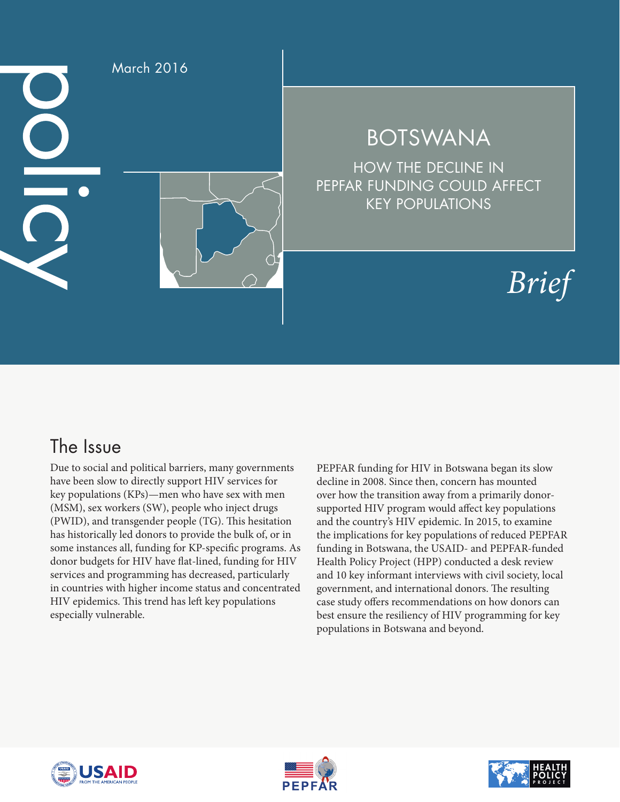

## BOTSWANA

HOW THE DECLINE IN PEPFAR FUNDING COULD AFFECT KEY POPULATIONS

# *Brief*

## The Issue

Due to social and political barriers, many governments have been slow to directly support HIV services for key populations (KPs)—men who have sex with men (MSM), sex workers (SW), people who inject drugs (PWID), and transgender people (TG). This hesitation has historically led donors to provide the bulk of, or in some instances all, funding for KP-specific programs. As donor budgets for HIV have flat-lined, funding for HIV services and programming has decreased, particularly in countries with higher income status and concentrated HIV epidemics. This trend has left key populations especially vulnerable.

PEPFAR funding for HIV in Botswana began its slow decline in 2008. Since then, concern has mounted over how the transition away from a primarily donorsupported HIV program would affect key populations and the country's HIV epidemic. In 2015, to examine the implications for key populations of reduced PEPFAR funding in Botswana, the USAID- and PEPFAR-funded Health Policy Project (HPP) conducted a desk review and 10 key informant interviews with civil society, local government, and international donors. The resulting case study offers recommendations on how donors can best ensure the resiliency of HIV programming for key populations in Botswana and beyond.





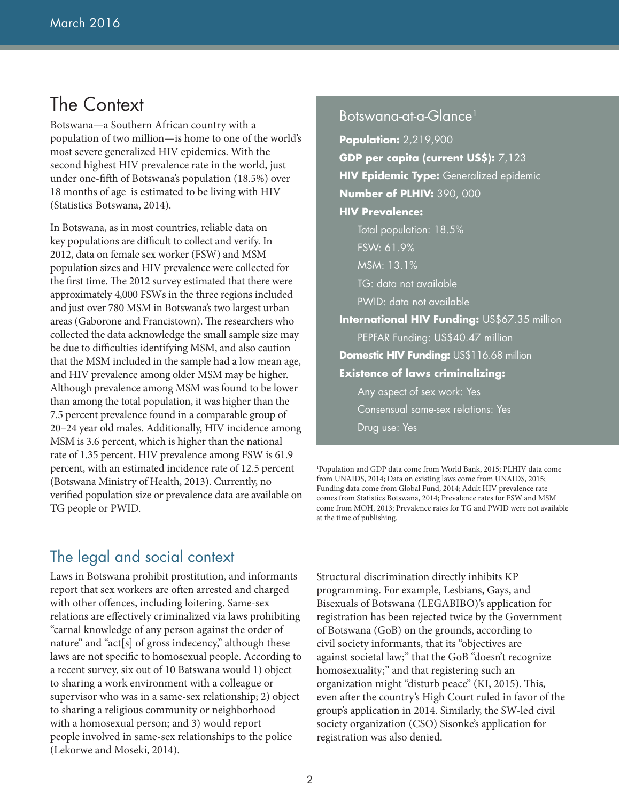## The Context

Botswana—a Southern African country with a population of two million—is home to one of the world's most severe generalized HIV epidemics. With the second highest HIV prevalence rate in the world, just under one-fifth of Botswana's population (18.5%) over 18 months of age is estimated to be living with HIV (Statistics Botswana, 2014).

In Botswana, as in most countries, reliable data on key populations are difficult to collect and verify. In 2012, data on female sex worker (FSW) and MSM population sizes and HIV prevalence were collected for the first time. The 2012 survey estimated that there were approximately 4,000 FSWs in the three regions included and just over 780 MSM in Botswana's two largest urban areas (Gaborone and Francistown). The researchers who collected the data acknowledge the small sample size may be due to difficulties identifying MSM, and also caution that the MSM included in the sample had a low mean age, and HIV prevalence among older MSM may be higher. Although prevalence among MSM was found to be lower than among the total population, it was higher than the 7.5 percent prevalence found in a comparable group of 20–24 year old males. Additionally, HIV incidence among MSM is 3.6 percent, which is higher than the national rate of 1.35 percent. HIV prevalence among FSW is 61.9 percent, with an estimated incidence rate of 12.5 percent (Botswana Ministry of Health, 2013). Currently, no verified population size or prevalence data are available on TG people or PWID.

#### Botswana-at-a-Glance1

**Population:** 2,219,900 **GDP per capita (current US\$):** 7,123 **HIV Epidemic Type:** Generalized epidemic **Number of PLHIV:** 390, 000 **HIV Prevalence:** Total population: 18.5% FSW: 61.9% MSM: 13.1% TG: data not available PWID: data not available **International HIV Funding:** US\$67.35 million PEPFAR Funding: US\$40.47 million **Domestic HIV Funding: US\$116.68 million Existence of laws criminalizing:** Any aspect of sex work: Yes Consensual same-sex relations: Yes Drug use: Yes

1 Population and GDP data come from World Bank, 2015; PLHIV data come from UNAIDS, 2014; Data on existing laws come from UNAIDS, 2015; Funding data come from Global Fund, 2014; Adult HIV prevalence rate comes from Statistics Botswana, 2014; Prevalence rates for FSW and MSM come from MOH, 2013; Prevalence rates for TG and PWID were not available at the time of publishing.

#### The legal and social context

Laws in Botswana prohibit prostitution, and informants report that sex workers are often arrested and charged with other offences, including loitering. Same-sex relations are effectively criminalized via laws prohibiting "carnal knowledge of any person against the order of nature" and "act[s] of gross indecency," although these laws are not specific to homosexual people. According to a recent survey, six out of 10 Batswana would 1) object to sharing a work environment with a colleague or supervisor who was in a same-sex relationship; 2) object to sharing a religious community or neighborhood with a homosexual person; and 3) would report people involved in same-sex relationships to the police (Lekorwe and Moseki, 2014).

Structural discrimination directly inhibits KP programming. For example, Lesbians, Gays, and Bisexuals of Botswana (LEGABIBO)'s application for registration has been rejected twice by the Government of Botswana (GoB) on the grounds, according to civil society informants, that its "objectives are against societal law;" that the GoB "doesn't recognize homosexuality;" and that registering such an organization might "disturb peace" (KI, 2015). This, even after the country's High Court ruled in favor of the group's application in 2014. Similarly, the SW-led civil society organization (CSO) Sisonke's application for registration was also denied.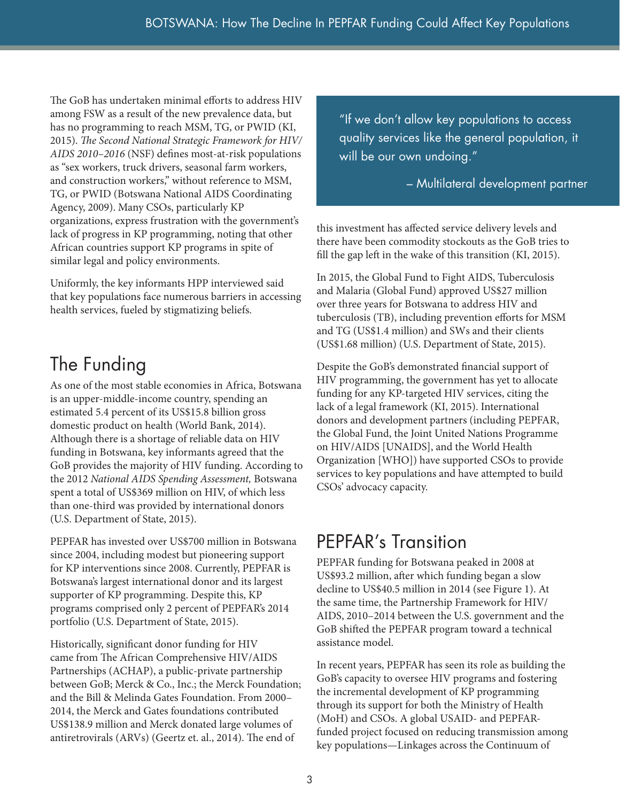The GoB has undertaken minimal efforts to address HIV among FSW as a result of the new prevalence data, but has no programming to reach MSM, TG, or PWID (KI, 2015). *The Second National Strategic Framework for HIV/ AIDS 2010–2016* (NSF) defines most-at-risk populations as "sex workers, truck drivers, seasonal farm workers, and construction workers," without reference to MSM, TG, or PWID (Botswana National AIDS Coordinating Agency, 2009). Many CSOs, particularly KP organizations, express frustration with the government's lack of progress in KP programming, noting that other African countries support KP programs in spite of similar legal and policy environments.

Uniformly, the key informants HPP interviewed said that key populations face numerous barriers in accessing health services, fueled by stigmatizing beliefs.

## The Funding

As one of the most stable economies in Africa, Botswana is an upper-middle-income country, spending an estimated 5.4 percent of its US\$15.8 billion gross domestic product on health (World Bank, 2014). Although there is a shortage of reliable data on HIV funding in Botswana, key informants agreed that the GoB provides the majority of HIV funding. According to the 2012 *National AIDS Spending Assessment,* Botswana spent a total of US\$369 million on HIV, of which less than one-third was provided by international donors (U.S. Department of State, 2015).

PEPFAR has invested over US\$700 million in Botswana since 2004, including modest but pioneering support for KP interventions since 2008. Currently, PEPFAR is Botswana's largest international donor and its largest supporter of KP programming. Despite this, KP programs comprised only 2 percent of PEPFAR's 2014 portfolio (U.S. Department of State, 2015).

Historically, significant donor funding for HIV came from The African Comprehensive HIV/AIDS Partnerships (ACHAP), a public-private partnership between GoB; Merck & Co., Inc.; the Merck Foundation; and the Bill & Melinda Gates Foundation. From 2000– 2014, the Merck and Gates foundations contributed US\$138.9 million and Merck donated large volumes of antiretrovirals (ARVs) (Geertz et. al., 2014). The end of

"If we don't allow key populations to access quality services like the general population, it will be our own undoing."

#### – Multilateral development partner

this investment has affected service delivery levels and there have been commodity stockouts as the GoB tries to fill the gap left in the wake of this transition (KI, 2015).

In 2015, the Global Fund to Fight AIDS, Tuberculosis and Malaria (Global Fund) approved US\$27 million over three years for Botswana to address HIV and tuberculosis (TB), including prevention efforts for MSM and TG (US\$1.4 million) and SWs and their clients (US\$1.68 million) (U.S. Department of State, 2015).

Despite the GoB's demonstrated financial support of HIV programming, the government has yet to allocate funding for any KP-targeted HIV services, citing the lack of a legal framework (KI, 2015). International donors and development partners (including PEPFAR, the Global Fund, the Joint United Nations Programme on HIV/AIDS [UNAIDS], and the World Health Organization [WHO]) have supported CSOs to provide services to key populations and have attempted to build CSOs' advocacy capacity.

## PEPFAR's Transition

PEPFAR funding for Botswana peaked in 2008 at US\$93.2 million, after which funding began a slow decline to US\$40.5 million in 2014 (see Figure 1). At the same time, the Partnership Framework for HIV/ AIDS, 2010–2014 between the U.S. government and the GoB shifted the PEPFAR program toward a technical assistance model.

In recent years, PEPFAR has seen its role as building the GoB's capacity to oversee HIV programs and fostering the incremental development of KP programming through its support for both the Ministry of Health (MoH) and CSOs. A global USAID- and PEPFARfunded project focused on reducing transmission among key populations—Linkages across the Continuum of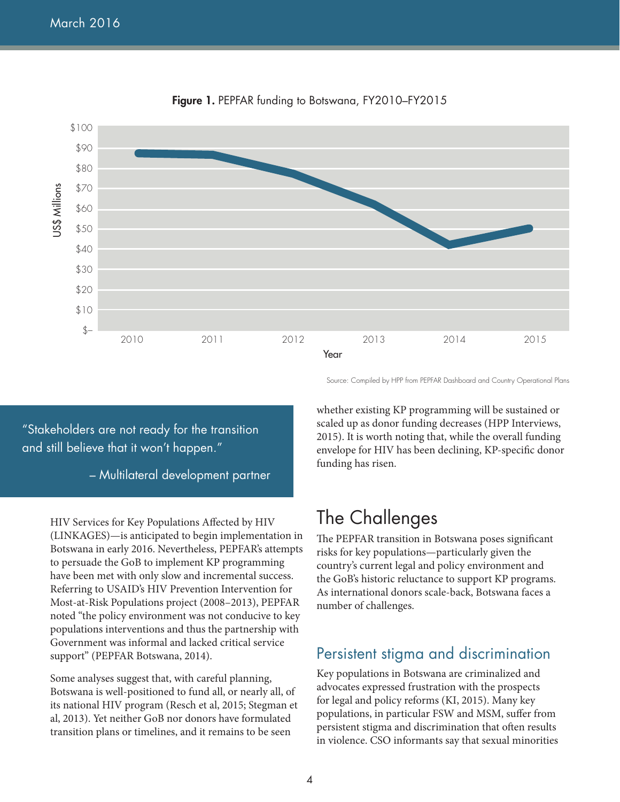

**Figure 1.** PEPFAR funding to Botswana, FY2010–FY2015

"Stakeholders are not ready for the transition and still believe that it won't happen."

– Multilateral development partner

HIV Services for Key Populations Affected by HIV (LINKAGES)—is anticipated to begin implementation in Botswana in early 2016. Nevertheless, PEPFAR's attempts to persuade the GoB to implement KP programming have been met with only slow and incremental success. Referring to USAID's HIV Prevention Intervention for Most-at-Risk Populations project (2008–2013), PEPFAR noted "the policy environment was not conducive to key populations interventions and thus the partnership with Government was informal and lacked critical service support" (PEPFAR Botswana, 2014).

Some analyses suggest that, with careful planning, Botswana is well-positioned to fund all, or nearly all, of its national HIV program (Resch et al, 2015; Stegman et al, 2013). Yet neither GoB nor donors have formulated transition plans or timelines, and it remains to be seen

whether existing KP programming will be sustained or scaled up as donor funding decreases (HPP Interviews, 2015). It is worth noting that, while the overall funding envelope for HIV has been declining, KP-specific donor funding has risen.

Source: Compiled by HPP from PEPFAR Dashboard and Country Operational Plans

## The Challenges

The PEPFAR transition in Botswana poses significant risks for key populations—particularly given the country's current legal and policy environment and the GoB's historic reluctance to support KP programs. As international donors scale-back, Botswana faces a number of challenges.

#### Persistent stigma and discrimination

Key populations in Botswana are criminalized and advocates expressed frustration with the prospects for legal and policy reforms (KI, 2015). Many key populations, in particular FSW and MSM, suffer from persistent stigma and discrimination that often results in violence. CSO informants say that sexual minorities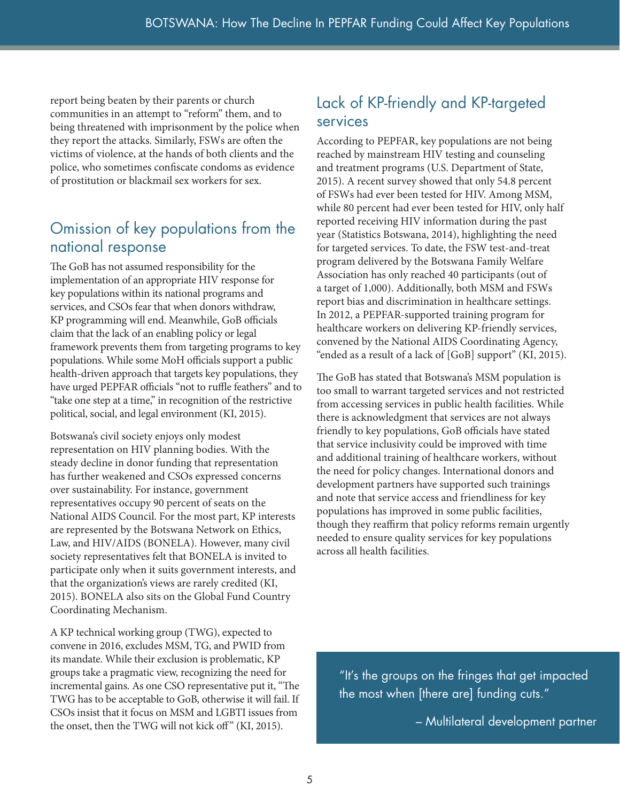report being beaten by their parents or church communities in an attempt to "reform" them, and to being threatened with imprisonment by the police when they report the attacks. Similarly, FSWs are often the victims of violence, at the hands of both clients and the police, who sometimes confiscate condoms as evidence of prostitution or blackmail sex workers for sex.

#### Omission of key populations from the national response

The GoB has not assumed responsibility for the implementation of an appropriate HIV response for key populations within its national programs and services, and CSOs fear that when donors withdraw, KP programming will end. Meanwhile, GoB officials claim that the lack of an enabling policy or legal framework prevents them from targeting programs to key populations. While some MoH officials support a public health-driven approach that targets key populations, they have urged PEPFAR officials "not to ruffle feathers" and to "take one step at a time," in recognition of the restrictive political, social, and legal environment (KI, 2015).

Botswana's civil society enjoys only modest representation on HIV planning bodies. With the steady decline in donor funding that representation has further weakened and CSOs expressed concerns over sustainability. For instance, government representatives occupy 90 percent of seats on the National AIDS Council. For the most part, KP interests are represented by the Botswana Network on Ethics, Law, and HIV/AIDS (BONELA). However, many civil society representatives felt that BONELA is invited to participate only when it suits government interests, and that the organization's views are rarely credited (KI, 2015). BONELA also sits on the Global Fund Country Coordinating Mechanism.

A KP technical working group (TWG), expected to convene in 2016, excludes MSM, TG, and PWID from its mandate. While their exclusion is problematic, KP groups take a pragmatic view, recognizing the need for incremental gains. As one CSO representative put it, "The TWG has to be acceptable to GoB, otherwise it will fail. If CSOs insist that it focus on MSM and LGBTI issues from the onset, then the TWG will not kick off" (KI, 2015).

#### Lack of KP-friendly and KP-targeted services

According to PEPFAR, key populations are not being reached by mainstream HIV testing and counseling and treatment programs (U.S. Department of State, 2015). A recent survey showed that only 54.8 percent of FSWs had ever been tested for HIV. Among MSM, while 80 percent had ever been tested for HIV, only half reported receiving HIV information during the past year (Statistics Botswana, 2014), highlighting the need for targeted services. To date, the FSW test-and-treat program delivered by the Botswana Family Welfare Association has only reached 40 participants (out of a target of 1,000). Additionally, both MSM and FSWs report bias and discrimination in healthcare settings. In 2012, a PEPFAR-supported training program for healthcare workers on delivering KP-friendly services, convened by the National AIDS Coordinating Agency, "ended as a result of a lack of [GoB] support" (KI, 2015).

The GoB has stated that Botswana's MSM population is too small to warrant targeted services and not restricted from accessing services in public health facilities. While there is acknowledgment that services are not always friendly to key populations, GoB officials have stated that service inclusivity could be improved with time and additional training of healthcare workers, without the need for policy changes. International donors and development partners have supported such trainings and note that service access and friendliness for key populations has improved in some public facilities, though they reaffirm that policy reforms remain urgently needed to ensure quality services for key populations across all health facilities.

"It's the groups on the fringes that get impacted the most when [there are] funding cuts."

– Multilateral development partner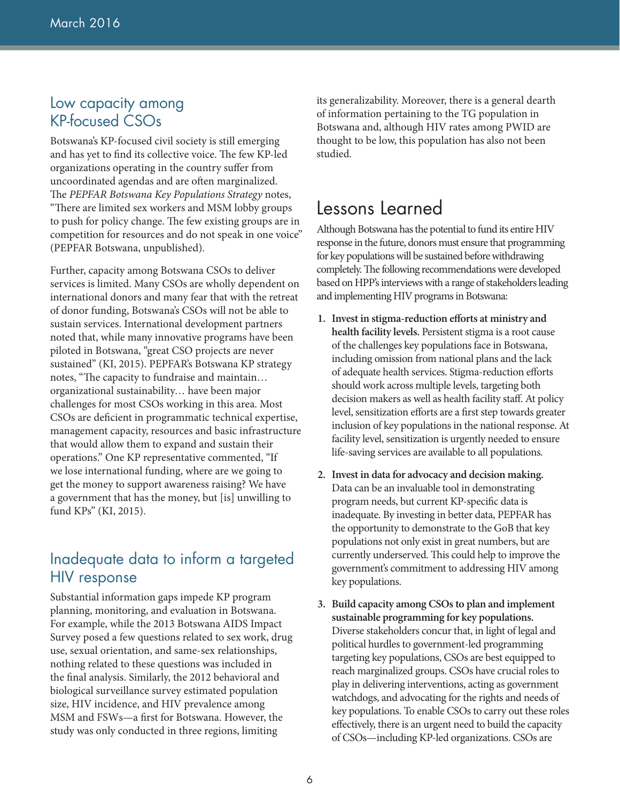#### Low capacity among KP-focused CSOs

Botswana's KP-focused civil society is still emerging and has yet to find its collective voice. The few KP-led organizations operating in the country suffer from uncoordinated agendas and are often marginalized. The *PEPFAR Botswana Key Populations Strategy* notes, "There are limited sex workers and MSM lobby groups to push for policy change. The few existing groups are in competition for resources and do not speak in one voice" (PEPFAR Botswana, unpublished).

Further, capacity among Botswana CSOs to deliver services is limited. Many CSOs are wholly dependent on international donors and many fear that with the retreat of donor funding, Botswana's CSOs will not be able to sustain services. International development partners noted that, while many innovative programs have been piloted in Botswana, "great CSO projects are never sustained" (KI, 2015). PEPFAR's Botswana KP strategy notes, "The capacity to fundraise and maintain… organizational sustainability… have been major challenges for most CSOs working in this area. Most CSOs are deficient in programmatic technical expertise, management capacity, resources and basic infrastructure that would allow them to expand and sustain their operations." One KP representative commented, "If we lose international funding, where are we going to get the money to support awareness raising? We have a government that has the money, but [is] unwilling to fund KPs" (KI, 2015).

#### Inadequate data to inform a targeted HIV response

Substantial information gaps impede KP program planning, monitoring, and evaluation in Botswana. For example, while the 2013 Botswana AIDS Impact Survey posed a few questions related to sex work, drug use, sexual orientation, and same-sex relationships, nothing related to these questions was included in the final analysis. Similarly, the 2012 behavioral and biological surveillance survey estimated population size, HIV incidence, and HIV prevalence among MSM and FSWs—a first for Botswana. However, the study was only conducted in three regions, limiting

its generalizability. Moreover, there is a general dearth of information pertaining to the TG population in Botswana and, although HIV rates among PWID are thought to be low, this population has also not been studied.

## Lessons Learned

Although Botswana has the potential to fund its entire HIV response in the future, donors must ensure that programming for key populations will be sustained before withdrawing completely. The following recommendations were developed based on HPP's interviews with a range of stakeholders leading and implementing HIV programs in Botswana:

- **1. Invest in stigma-reduction efforts at ministry and health facility levels.** Persistent stigma is a root cause of the challenges key populations face in Botswana, including omission from national plans and the lack of adequate health services. Stigma-reduction efforts should work across multiple levels, targeting both decision makers as well as health facility staff. At policy level, sensitization efforts are a first step towards greater inclusion of key populations in the national response. At facility level, sensitization is urgently needed to ensure life-saving services are available to all populations.
- **2. Invest in data for advocacy and decision making.**  Data can be an invaluable tool in demonstrating program needs, but current KP-specific data is inadequate. By investing in better data, PEPFAR has the opportunity to demonstrate to the GoB that key populations not only exist in great numbers, but are currently underserved. This could help to improve the government's commitment to addressing HIV among key populations.
- **3. Build capacity among CSOs to plan and implement sustainable programming for key populations.**  Diverse stakeholders concur that, in light of legal and political hurdles to government-led programming targeting key populations, CSOs are best equipped to reach marginalized groups. CSOs have crucial roles to play in delivering interventions, acting as government watchdogs, and advocating for the rights and needs of key populations. To enable CSOs to carry out these roles effectively, there is an urgent need to build the capacity of CSOs—including KP-led organizations. CSOs are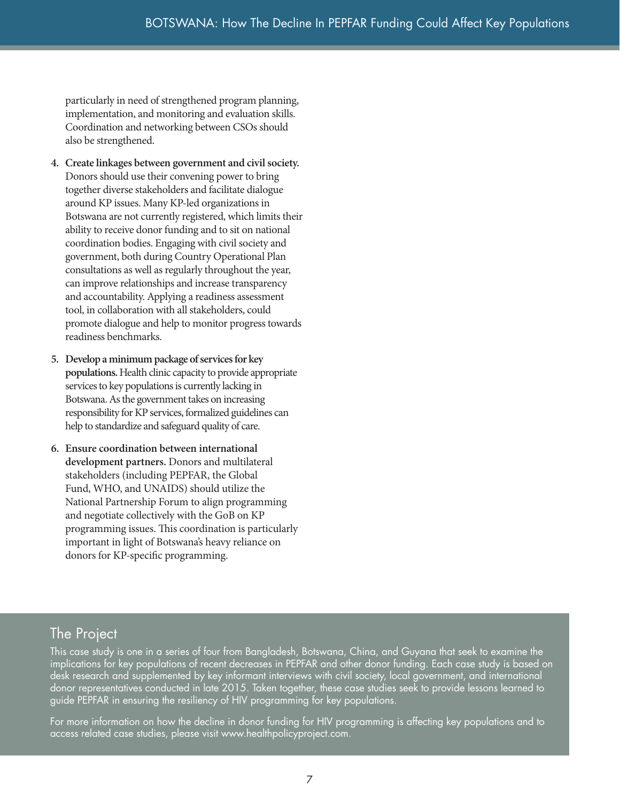particularly in need of strengthened program planning, implementation, and monitoring and evaluation skills. Coordination and networking between CSOs should also be strengthened.

- **4. Create linkages between government and civil society.**  Donors should use their convening power to bring together diverse stakeholders and facilitate dialogue around KP issues. Many KP-led organizations in Botswana are not currently registered, which limits their ability to receive donor funding and to sit on national coordination bodies. Engaging with civil society and government, both during Country Operational Plan consultations as well as regularly throughout the year, can improve relationships and increase transparency and accountability. Applying a readiness assessment tool, in collaboration with all stakeholders, could promote dialogue and help to monitor progress towards readiness benchmarks.
- **5. Develop a minimum package of services for key populations.** Health clinic capacity to provide appropriate services to key populations is currently lacking in Botswana. As the government takes on increasing responsibility for KP services, formalized guidelines can help to standardize and safeguard quality of care.
- **6. Ensure coordination between international development partners.** Donors and multilateral stakeholders (including PEPFAR, the Global Fund, WHO, and UNAIDS) should utilize the National Partnership Forum to align programming and negotiate collectively with the GoB on KP programming issues. This coordination is particularly important in light of Botswana's heavy reliance on donors for KP-specific programming.

### The Project

This case study is one in a series of four from Bangladesh, Botswana, China, and Guyana that seek to examine the implications for key populations of recent decreases in PEPFAR and other donor funding. Each case study is based on desk research and supplemented by key informant interviews with civil society, local government, and international donor representatives conducted in late 2015. Taken together, these case studies seek to provide lessons learned to guide PEPFAR in ensuring the resiliency of HIV programming for key populations.

For more information on how the decline in donor funding for HIV programming is affecting key populations and to access related case studies, please visit www.healthpolicyproject.com.